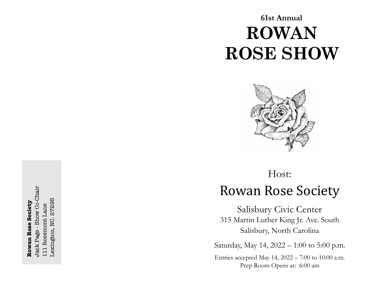# **61st Annual ROWAN ROSE SHOW**



# Host: **Rowan Rose Society**

Salisbury Civic Center 315 Martin Luther King Jr. Ave. South Salisbury, North Carolina

Saturday, May 14, 2022 – 1:00 to 5:00 p.m.

Entries accepted May 14, 2022 – 7:00 to 10:00 a.m. Prep Room Opens at: 6:00 am

Jack Page - Show Co-Chair Jack Page - Show Co-Chair Lexington, NC. 27295 Lexington, NC. 27295 **Rowan Rose Society Rowan Rose Society** 111 Rosemont Lane 111 Rosemont Lane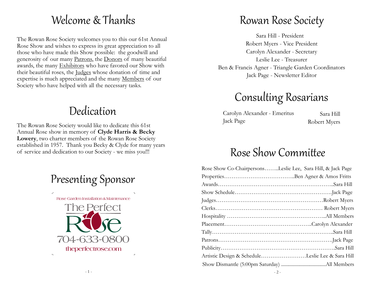# Welcome & Thanks

The Rowan Rose Society welcomes you to this our 61st Annual Rose Show and wishes to express its great appreciation to all those who have made this Show possible: the goodwill and generosity of our many Patrons, the Donors of many beautiful awards, the many Exhibitors who have favored our Show with their beautiful roses, the Judges whose donation of time and expertise is much appreciated and the many Members of our Society who have helped with all the necessary tasks.

# Dedication

The Rowan Rose Society would like to dedicate this 61st Annual Rose show in memory of **Clyde Harris & Becky Lowery**, two charter members of the Rowan Rose Society established in 1957. Thank you Becky & Clyde for many years of service and dedication to our Society - we miss you!!!

# Presenting Sponsor



# Rowan Rose Society

Sara Hill - President Robert Myers - Vice President Carolyn Alexander - Secretary Leslie Lee - Treasurer Ben & Francis Agner - Triangle Garden Coordinators Jack Page - Newsletter Editor

# Consulting Rosarians

Carolyn Alexander - Emeritus Jack Page

Sara Hill Robert Myers

# Rose Show Committee

| Rose Show Co-ChairpersonsLeslie Lee, Sara Hill, & Jack Page |  |
|-------------------------------------------------------------|--|
|                                                             |  |
|                                                             |  |
|                                                             |  |
|                                                             |  |
|                                                             |  |
|                                                             |  |
|                                                             |  |
|                                                             |  |
|                                                             |  |
|                                                             |  |
| Artistic Design & ScheduleLeslie Lee & Sara Hill            |  |
|                                                             |  |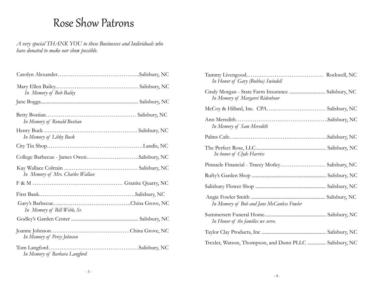# Rose Show Patrons

*A very special THANK YOU to these Businesses and Individuals who have donated to make our show possible.*

| In Memory of Bob Bailey                       |               |
|-----------------------------------------------|---------------|
|                                               |               |
| In Memory of Ronald Bostian                   |               |
| In Memory of Libby Buck                       |               |
|                                               |               |
| College Barbecue - James OwenSalisbury, NC    |               |
| In Memory of Mrs. Charles Wallace             |               |
|                                               |               |
|                                               |               |
| In Memory of Bill Webb, Sr.                   |               |
|                                               |               |
| In Memory of Percy Johnson                    |               |
| Tom Langford<br>In Memory of Barbara Langford | Salisbury, NC |

| In Honor of Gary (Bubba) Swindell                                                     |  |
|---------------------------------------------------------------------------------------|--|
| Cindy Morgan - State Farm Insurance  Salisbury, NC<br>In Memory of Margaret Ridenhour |  |
|                                                                                       |  |
| In Memory of Sam Meredith                                                             |  |
|                                                                                       |  |
| In honor of Clyde Harriss                                                             |  |
|                                                                                       |  |
| Pinnacle Financial - Tracey Motley Salisbury, NC                                      |  |
|                                                                                       |  |
|                                                                                       |  |
| In Memory of Bob and Jane McCanless Fowler                                            |  |
| In Honor of the families we serve.                                                    |  |
|                                                                                       |  |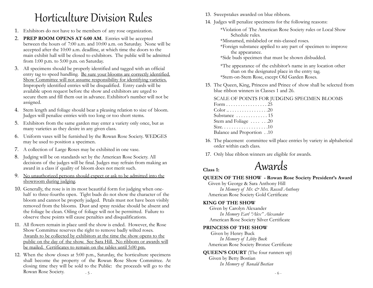# Horticulture Division Rules 13. Sweepstakes awarded on blue ribbons.

- 1. Exhibitors do not have to be members of any rose organization.
- 2. **PREP ROOM OPENS AT 6:00 AM**. Entries will be accepted between the hours of 7:00 a.m. and 10:00 a.m. on Saturday. None will be accepted after the 10:00 a.m. deadline, at which time the doors to the main exhibit hall will be closed to exhibitors. The public will be admitted from 1:00 p.m. to 5:00 p.m. on Saturday.
- 3. All specimens should be properly identified and tagged with an official entry tag to speed handling. Be sure your blooms are correctly identified. Show Committee will not assume responsibility for identifying varieties. Improperly identified entries will be disqualified. Entry cards will be available upon request before the show and exhibitors are urged to secure them and fill them out in advance. Exhibitor's number will not be assigned.
- 4. Stem length and foliage should bear a pleasing relation to size of bloom. Judges will penalize entries with too long or too short stems.
- 5. Exhibitors from the same garden may enter a variety only once, but as many varieties as they desire in any given class.
- 6. Uniform vases will be furnished by the Rowan Rose Society. WEDGES may be used to position a specimen.
- 7. A collection of Large Roses may be exhibited in one vase.
- 8. Judging will be on standards set by the American Rose Society. All decisions of the judges will be final. Judges may refrain from making an award in a class if quality of bloom does not merit such.
- 9. No unauthorized persons should expect or ask to be admitted into the showroom during judging.
- 10. Generally, the rose is in its most beautiful form for judging when onehalf to three-fourths open. Tight buds do not show the character of the bloom and cannot be properly judged. Petals must not have been visibly removed from the blooms. Dust and spray residue should be absent and the foliage be clean. Oiling of foliage will not be permitted. Failure to observe these points will cause penalties and disqualifications.
- 11. All flowers remain in place until the show is ended. However, the Rose Show Committee reserves the right to remove badly wilted roses. Awards to be collected by exhibitors at the time the show opens to the public on the day of the show. See Sara Hill. No ribbons or awards will be mailed. Certificates to remain on the tables until 5:00 pm.
- 5 12. When the show closes at 5:00 p.m., Saturday, the horticulture specimens shall become the property of the Rowan Rose Show Committee. At closing time they will be sold to the Public: the proceeds will go to the Rowan Rose Society.
- 
- 14. Judges will penalize specimens for the following reasons:
	- \*Violation of The American Rose Society rules or Local Show Schedule rules.
	- \*Misnamed, mislabeled or mis-classed roses.
	- \*Foreign substance applied to any part of specimen to improve the appearance.
	- \*Side buds specimen that must be shown disbudded.
	- \*The appearance of the exhibitor's name in any location other than on the designated place in the entry tag.<br>\*Stem-on-Stem Rose, except Old Garden Roses.
- 15. The Queen, King, Princess and Prince of show shall be selected from blue ribbon winners in Classes 1 and 26.

SCALE OF POINTS FOR JUDGING SPECIMEN BLOOMS

| Form 25                                 |
|-----------------------------------------|
| $Color_{1}, \ldots, \ldots, \ldots, 20$ |
| Substance  15                           |
| Stem and Foliage   20                   |
|                                         |
| Balance and Proportion 10               |

- 16. The placement committee will place entries by variety in alphabetical order within each class.
- 17. Only blue ribbon winners are eligible for awards.

# **Class 1:** Awards

### **QUEEN OF THE SHOW - Rowan Rose Society President's Award**

 Given by George & Sara Anthony Hill *In Memory of Mr. & Mrs. Russell Anthony* American Rose Society Gold Certificate

### **KING OF THE SHOW**

 Given by Carolyn Alexander *In Memory Earl "Alex" Alexander* American Rose Society Silver Certificate

### **PRINCESS OF THE SHOW**

 Given by Henry Buck *In Memory of Libby Buck* American Rose Society Bronze Certificate

**QUEEN'S COURT** (The four runners up) Given by Betty Bostian *In Memory of Ronald Bostian*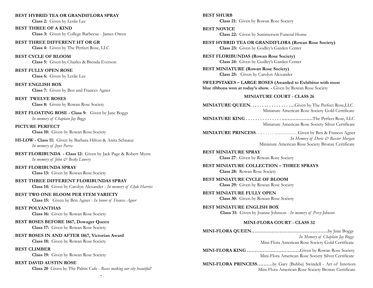#### **BEST HYBRID TEA OR GRANDIFLORA SPRAY**

**Class 2:** Given by Leslie Lee

**BEST THREE OF A KIND Class 3:** Given by College Barbecue - James Owen

**BEST THREE DIFFERENT HT OR GR Class 4:** Given by The Perfect Rose, LLC

**BEST CYCLE OF BLOOM Class 5:** Given by Charles & Brenda Everson

**BEST FULLY OPEN ROSE Class 6:** Given by Leslie Lee

**BEST ENGLISH BOX Class 7:** Given by Ben and Frances Agner

**BEST TWELVE ROSES Class 8:** Given by Rowan Rose Society

**BEST FLOATING ROSE - Class 9:** Given by Jane Boggs *In memory of Chaplain Jay Boggs*

**PICTURE PERFECT Class 10:** Given by Rowan Rose Society

**HI-LOW - Class 11:** Given by Barbara Hilton & Anita Schnauz *In memory of Joyce Parra*

**BEST FLORIBUNDA - Class 12:** Given by Jack Page & Robert Myers *In memory of John & Becky Lowery*

**BEST FLORIBUNDA SPRAY Class 13:** Given by Rowan Rose Society

**BEST THREE DIFFERENT FLORIBUNDAS SPRAY Class 14:** Given by Carolyn Alexander - *In memory of Clyde Harriss*

### **BEST TWO ONE BLOOM PER STEM VARIETY**

**Class 15:** Given by Ben Agner - *In honor of Frances Agner*

#### **BEST POLYANTHAS**

**Class 16:** Given by Rowan Rose Society

**BEST ROSES BEFORE 1867, Dowager Queen Class 17:** Given by Rowan Rose Society

**BEST ROSES IN AND AFTER 1867, Victorian Award Class 18:** Given by Rowan Rose Society

**BEST CLIMBER**

**Class 19:** Given by Rowan Rose Society

**BEST DAVID AUSTIN ROSE Class 20** Given by The Palms Cafe - *Roses making our city beautiful!* **BEST SHURB Class 21:** Given by Rowan Rose Society **BEST NOVICE Class 22:** Given by Summersett Funeral Home **BEST HYBRID TEA OR GRANDIFLORA (Rowan Rose Society) Class 23:** Given by Godley's Garden Center **BEST FLORIBUNDAS (Rowan Rose Society) Class 24:** Given by Godley's Garden Center **BEST MINIATURE (Rowan Rose Society) Class 25:** Given by Carolyn Alexander **SWEEPSTAKES – LARGE ROSES (Awarded to Exhibitor with most blue ribbons won at today's show.** - Given by Rowan Rose Society **MINIATURE COURT - CLASS 26 MINIATURE QUEEN. . . . . . . . . . . . . . . . ….**Given by The Perfect Rose,LLC Miniature American Rose Society Gold Certificate **MINIATURE KING . . . . . . . . . . . . . . . ..………………**The Perfect Rose, LLC Miniature American Rose Society Silver Certificate **MINIATURE PRINCESS**. . .. . . . . . ……………Given by Ben & Frances Agner *In Memory of Doris & Baxter Morgan* Miniature American Rose Society Bronze Certificate **BEST MINIATURE SPRAY Class 27**: Given by Rowan Rose Society **BEST MINIATURE COLLECTION – THREE SPRAYS Class 28:** Rowan Rose Society **BEST MINIATURE CYCLE OF BLOOM Class 29:** Given by Rowan Rose Society **BEST MINIATURE FULLY OPEN Class 30:** Given by Rowan Rose Society **BEST MINIATURE ENGLISH BOX Class 31:** Given by Joanne Johnson - *In memory of Percy Johnson* **MINI-FLORA COURT - CLASS 32 MINI-FLORA QUEEN………………………………………….**by Jane Boggs *In Memory of Chaplain Jay Boggs* Mini-Flora American Rose Society Gold Certificate **MINI-FLORA KING …………………………….**Given by Rowan Rose Society Mini-Flora American Rose Society Silver Certificate **MINI-FLORA PRINCESS……….**by Gary (Bubba) Swindell - Art of Interiors

Mini-Flora American Rose Society Bronze Certificate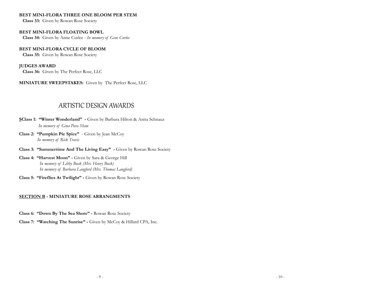#### **BEST MINI-FLORA THREE ONE BLOOM PER STEM**

**Class 33:** Given by Rowan Rose Society

**BEST MINI-FLORA FLOATING BOWL Class 34:** Given by Anne Curlee - *In memory of Gene Curlee*

### **BEST MINI-FLORA CYCLE OF BLOOM**

 **Class 35:** Given by Rowan Rose Society

#### **JUDGES AWARD**

**Class 36:** Given by The Perfect Rose, LLC

### **MINIATURE SWEEPSTAKES:** Given by The Perfect Rose, LLC

# ARTISTIC DESIGN AWARDS

- **SClass 1: "Winter Wonderland"** Given by Barbara Hilton & Anita Schnauz  *In memory of Gina Para Shaw*
- **Class 2: "Pumpkin Pie Spice"**  Given by Jean McCoy *In memory of Rick Travis*
- **Class 3: "Summertime And The Living Easy"** Given by Rowan Rose Society
- **Class 4: "Harvest Moon"** Given by Sara & George Hill *In memory of Libby Buck (Mrs. Henry Buck) In memory of Barbara Langford (Mrs. Thomas Langford)*
- **Class 5: "Fireflies At Twilight"** Given by Rowan Rose Society

#### **SECTION B - MINIATURE ROSE ARRANGMENTS**

- **Class 6: "Down By The Sea Shore"** Rowan Rose Society
- **Class 7: "Watching The Sunrise"** Given by McCoy & Hillard CPA, Inc.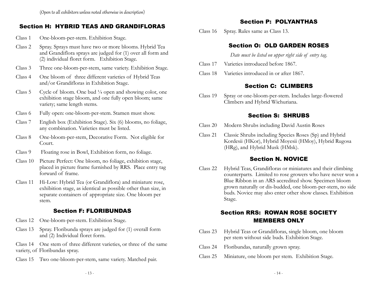## Section H: HYBRID TEAS AND GRANDIFLORAS

- Class 1 One-bloom-per-stem. Exhibition Stage.
- Class 2 Spray. Sprays must have two or more blooms. Hybrid Tea and Grandiflora sprays are judged for (1) over all form and (2) individual floret form. Exhibition Stage.
- Class 3 Three one-bloom-per-stem, same variety. Exhibition Stage.
- Class 4 One bloom of three different varieties of Hybrid Teas and/or Grandifloras in Exhibition Stage.
- Class 5 Cycle of bloom. One bud ¼ open and showing color, one exhibition stage bloom, and one fully open bloom; same variety; same length stems.
- Class 6 Fully open: one-bloom-per-stem. Stamen must show.
- Class 7 English box (Exhibition Stage). Six (6) blooms, no foliage, any combination. Varieties must be listed.
- Class 8 One-bloom-per-stem, Decorative Form. Not eligible for Court.
- Class 9 Floating rose in Bowl, Exhibition form, no foliage.
- Class 10 Picture Perfect: One bloom, no foliage, exhibition stage, placed in picture frame furnished by RRS. Place entry tag forward of frame.
- Class 11 Hi-Low: Hybrid Tea (or Grandiflora) and miniature rose, exhibition stage, as identical as possible other than size, in separate containers of appropriate size. One bloom per stem.

# Section F: FLORIBUNDAS

- Class 12 One-bloom-per-stem. Exhibition Stage.
- Class 13 Spray. Floribunda sprays are judged for (1) overall form and (2) Individual floret form.

Class 14 One stem of three different varieties, or three of the same variety, of Floribundas spray.

Class 15 Two one-bloom-per-stem, same variety. Matched pair.

## Section P: POLYANTHAS

Class 16 Spray. Rules same as Class 13.

# Section O: OLD GARDEN ROSES

*Date must be listed on upper right side of entry tag.*

- Class 17 Varieties introduced before 1867.
- Class 18 Varieties introduced in or after 1867.

## Section C: CLIMBERS

Class 19 Spray or one-bloom-per-stem. Includes large-flowered Climbers and Hybrid Wichuriana.

## Section S: SHRUBS

- Class 20 Modern Shrubs including David Austin Roses
- Class 21 Classic Shrubs including Species Roses (Sp) and Hybrid Kordesii (HKor), Hybrid Moyesii (HMoy), Hybrid Rugosa (HRg), and Hybrid Musk (HMsk).

## Section N. NOVICE

Class 22 Hybrid Teas, Grandifloras or miniatures and their climbing counterparts. Limited to rose growers who have never won a Blue Ribbon in an ARS accredited show. Specimen bloom grown naturally or dis-budded, one bloom-per-stem, no side buds. Novice may also enter other show classes. Exhibition Stage.

# Section RRS: ROWAN ROSE SOCIETY MEMBERS ONLY

- Class 23 Hybrid Teas or Grandifloras, single bloom, one bloom per stem without side buds. Exhibition Stage.
- Class 24 Floribundas, naturally grown spray.
- Class 25 Miniature, one bloom per stem. Exhibition Stage.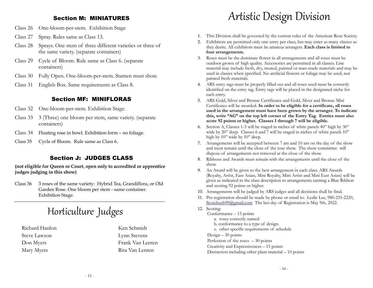### Section M: MINIATURES

- Class 26 One-bloom-per-stem. Exhibition Stage
- Class 27 Spray. Rules same as Class 13.
- Class 28 Sprays. One stem of three different varieties or three of the same variety. (separate containers)
- Class 29 Cycle of Bloom. Rule same as Class 6. (separate containers)
- Class 30 Fully Open. One-bloom-per-stem. Stamen must show.
- Class 31 English Box. Same requirements as Class 8.

### Section MF: MINIFLORAS

- Class 32 One-bloom-per-stem. Exhibition Stage.
- Class 33 3 (Three) one bloom per stem, same variety. (separate containers)
- Class 34 Floating rose in bowl. Exhibition form no foliage.
- Class 35 Cycle of Bloom. Rule same as Class 6.

### Section J: JUDGES CLASS

**(not eligible for Queen or Court, open only to accredited or apprentice judges judging in this show)**

Class 36 3 roses of the same variety: Hybrid Tea, Grandiflora, or Old Garden Rose. One bloom per stem - same container. Exhibition Stage.

# Horticulture Judges

Richard Hanlon Steve Lawson Don Myers Mary Myers

Ken Schmidt Lynn Stevens Frank Van Lenten Rita Van Lenten

# Artistic Design Division

- 1. This Division shall be governed by the current rules of the American Rose Society.
- 2. Exhibitors are permitted only one entry per class, but may enter as many classes as they desire. All exhibitors must be amateur arrangers. **Each class is limited to four arrangements.**
- 3. Roses must be the dominate flower in all arrangements and all roses must be outdoor grown of high quality. Accessories are permitted in all classes. Line material may include fresh, dry, treated, painted or man-made materials and may be used in classes when specified. No artificial flowers or foliage may be used, nor painted fresh materials.
- 4. ARS entry tags must be properly filled out and all roses used must be correctly identified on the entry tag. Entry tags will be placed in the designated niche for each entry.
- 5. ARS Gold, Silver and Bronze Certificates and Gold, Silver and Bronze Mini Certificates will be awarded. **In order to be eligible for a certificate, all roses used in the arrangement must have been grown by the arranger. To indicate this, write "AG" on the top left corner of the Entry Tag. Entries must also score 92 points or higher. Classes 1 through 7 will be eligible.**
- 6. Section A, Classes 1-5 will be staged in niches of white panels 40" high by 30" wide by 20" deep. Classes 6 and 7 will be staged in niches of white panels 10" high by 10" wide by 10" deep.
- 7. Arrangements will be accepted between 7 am and 10 am on the day of the show and must remain until the close of the rose show. The show committee will dispose of arrangements not removed at the close of the show.
- 8. Ribbons and Awards must remain with the arrangements until the close of the show.
- 9. An Award will be given to the best arrangement in each class. ARS Awards (Royalty, Artist, East Asian, Mini Royalty, Mini Artist and Mini East Asian) will be given as indicated in the class description to arrangements earning a Blue Ribbon and scoring 92 points or higher.
- 10. Arrangements will be judged by ARS judges and all decisions shall be final.
- 11. Pre-registration should be made by phone or email to: Leslie Lee, 980-255-2220, llrosebush99@gmail.com The last day of Registration is May 9th, 2022.
- 12. Scoring: Conformance – 15 points a. roses correctly named b. conformance to a type of design. c. other specific requirements of schedule Design  $-30$  points Perfection of the roses  $-30$  points Creativity and Expressiveness – 15 points Distinction including other plant material – 10 points